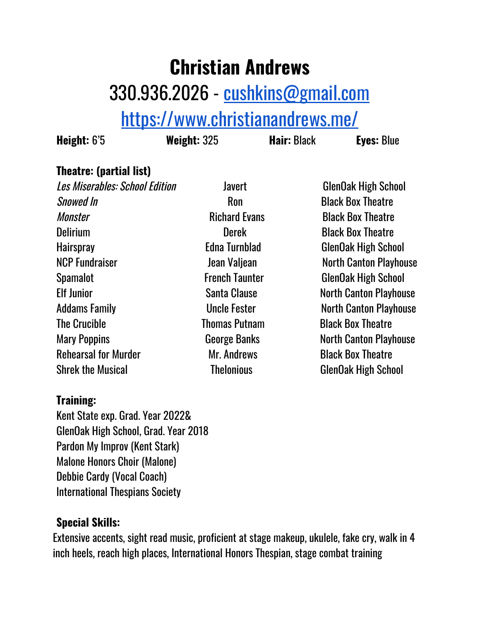## **Christian Andrews** 330.936.2026 - [cushkins@gmail.com](mailto:cushkins@gmail.com) <https://www.christianandrews.me/>

**Height:** 6'5 **Weight:** 325 **Hair:** Black **Eyes:** Blue

## **Theatre: (partial list)**

Les Miserables: School Edition Javert ClenOak High School Snowed In Ron Black Box Theatre Monster **Monster** Richard Evans Black Box Theatre Delirium Derek Black Box Theatre Hairspray Edna Turnblad GlenOak High School NCP Fundraiser **No. 2018** Jean Valjean Mexican North Canton Playhouse Spamalot **French Taunter** GlenOak High School Elf Junior **Santa Clause** Santa Clause North Canton Playhouse Addams Family **No. 2018** Uncle Fester North Canton Playhouse The Crucible Thomas Putnam Black Box Theatre Mary Poppins **Mary Poppins** George Banks North Canton Playhouse Rehearsal for Murder Music Mr. Andrews Black Box Theatre Shrek the Musical Thelonious ClenOak High School

## **Training:**

Kent State exp. Grad. Year 2022& GlenOak High School, Grad. Year 2018 Pardon My Improv (Kent Stark) Malone Honors Choir (Malone) Debbie Cardy (Vocal Coach) International Thespians Society

## **Special Skills:**

Extensive accents, sight read music, proficient at stage makeup, ukulele, fake cry, walk in 4 inch heels, reach high places, International Honors Thespian, stage combat training